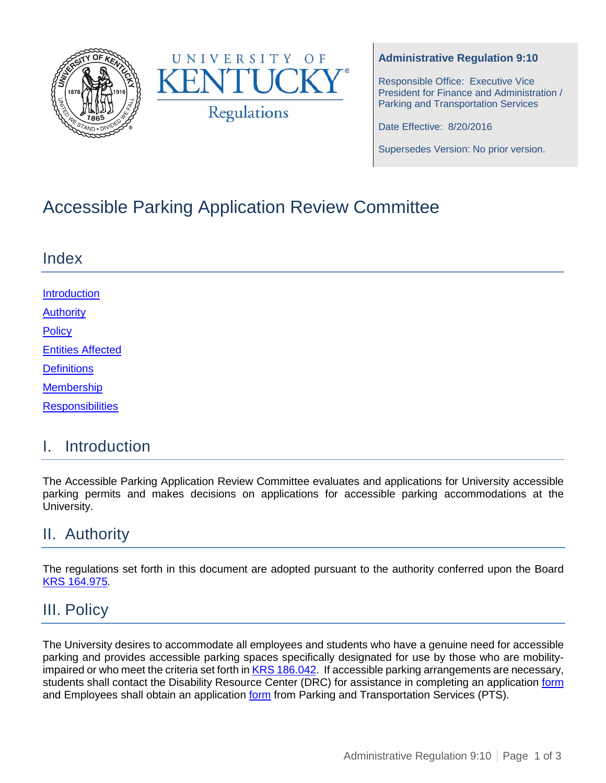



#### **Administrative Regulation 9:10**

Responsible Office: Executive Vice President for Finance and Administration / Parking and Transportation Services

Date Effective: 8/20/2016

Supersedes Version: No prior version.

# Accessible Parking Application Review Committee

| Index                    |  |
|--------------------------|--|
|                          |  |
| Introduction             |  |
| <b>Authority</b>         |  |
| Policy                   |  |
| <b>Entities Affected</b> |  |
| <b>Definitions</b>       |  |
| <b>Membership</b>        |  |
| <b>Responsibilities</b>  |  |

#### I. Introduction

The Accessible Parking Application Review Committee evaluates and applications for University accessible parking permits and makes decisions on applications for accessible parking accommodations at the University.

### II. Authority

The regulations set forth in this document are adopted pursuant to the authority conferred upon the Board [KRS 164.975](http://www.lrc.ky.gov/Statutes/statute.aspx?id=41828)*.*

#### III. Policy

The University desires to accommodate all employees and students who have a genuine need for accessible parking and provides accessible parking spaces specifically designated for use by those who are mobilityimpaired or who meet the criteria set forth i[n KRS 186.042.](http://www.lrc.ky.gov/Statutes/statute.aspx?id=5925) If accessible parking arrangements are necessary, students shall contact the Disability Resource Center (DRC) for assistance in completing an application [form](http://www.uky.edu/pts/sites/www.uky.edu.pts/files/pdfs/parking_permit_application_disabled.pdf) and Employees shall obtain an application [form](http://www.uky.edu/pts/sites/www.uky.edu.pts/files/pdfs/parking_permit_application_disabled.pdf) from Parking and Transportation Services (PTS).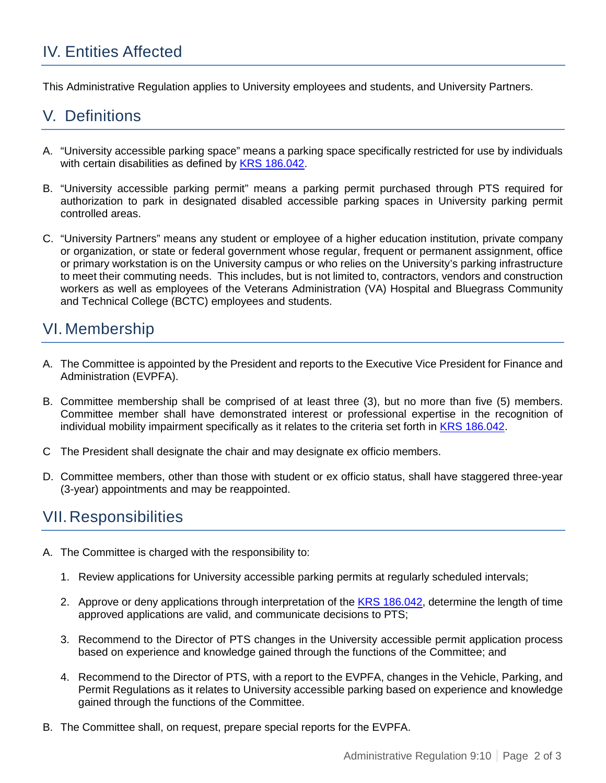## IV. Entities Affected

This Administrative Regulation applies to University employees and students, and University Partners.

#### V. Definitions

- A. "University accessible parking space" means a parking space specifically restricted for use by individuals with certain disabilities as defined by [KRS 186.042.](http://www.lrc.ky.gov/Statutes/statute.aspx?id=5925)
- B. "University accessible parking permit" means a parking permit purchased through PTS required for authorization to park in designated disabled accessible parking spaces in University parking permit controlled areas.
- C. "University Partners" means any student or employee of a higher education institution, private company or organization, or state or federal government whose regular, frequent or permanent assignment, office or primary workstation is on the University campus or who relies on the University's parking infrastructure to meet their commuting needs. This includes, but is not limited to, contractors, vendors and construction workers as well as employees of the Veterans Administration (VA) Hospital and Bluegrass Community and Technical College (BCTC) employees and students.

#### <span id="page-1-0"></span>VI. Membership

- A. The Committee is appointed by the President and reports to the Executive Vice President for Finance and Administration (EVPFA).
- B. Committee membership shall be comprised of at least three (3), but no more than five (5) members. Committee member shall have demonstrated interest or professional expertise in the recognition of individual mobility impairment specifically as it relates to the criteria set forth in [KRS 186.042.](http://www.lrc.ky.gov/Statutes/statute.aspx?id=5925)
- C The President shall designate the chair and may designate ex officio members.
- D. Committee members, other than those with student or ex officio status, shall have staggered three-year (3-year) appointments and may be reappointed.

### <span id="page-1-1"></span>VII.Responsibilities

- A. The Committee is charged with the responsibility to:
	- 1. Review applications for University accessible parking permits at regularly scheduled intervals;
	- 2. Approve or deny applications through interpretation of the KRS [186.042,](http://www.lrc.ky.gov/Statutes/statute.aspx?id=5925) determine the length of time approved applications are valid, and communicate decisions to PTS;
	- 3. Recommend to the Director of PTS changes in the University accessible permit application process based on experience and knowledge gained through the functions of the Committee; and
	- 4. Recommend to the Director of PTS, with a report to the EVPFA, changes in the Vehicle, Parking, and Permit Regulations as it relates to University accessible parking based on experience and knowledge gained through the functions of the Committee.
- B. The Committee shall, on request, prepare special reports for the EVPFA.